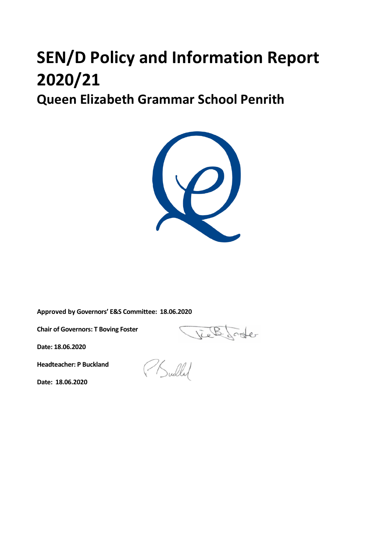# **SEN/D Policy and Information Report 2020/21**

**Queen Elizabeth Grammar School Penrith**



**Approved by Governors' E&S Committee: 18.06.2020**

**Chair of Governors: T Boving Foster**

Viel Sode

**Date: 18.06.2020**

**Headteacher: P Buckland**

PSullal

**Date: 18.06.2020**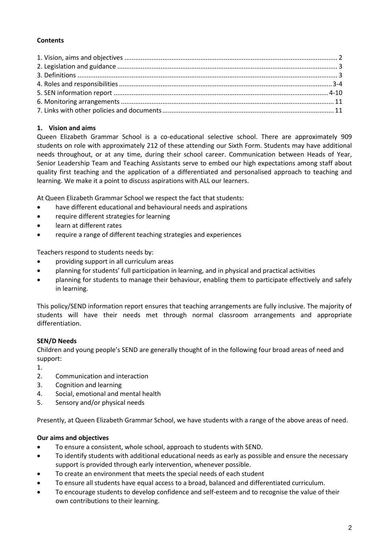# **Contents**

# **1. Vision and aims**

Queen Elizabeth Grammar School is a co-educational selective school. There are approximately 909 students on role with approximately 212 of these attending our Sixth Form. Students may have additional needs throughout, or at any time, during their school career. Communication between Heads of Year, Senior Leadership Team and Teaching Assistants serve to embed our high expectations among staff about quality first teaching and the application of a differentiated and personalised approach to teaching and learning. We make it a point to discuss aspirations with ALL our learners.

At Queen Elizabeth Grammar School we respect the fact that students:

- have different educational and behavioural needs and aspirations
- require different strategies for learning
- learn at different rates
- require a range of different teaching strategies and experiences

Teachers respond to students needs by:

- providing support in all curriculum areas
- planning for students' full participation in learning, and in physical and practical activities
- planning for students to manage their behaviour, enabling them to participate effectively and safely in learning.

This policy/SEND information report ensures that teaching arrangements are fully inclusive. The majority of students will have their needs met through normal classroom arrangements and appropriate differentiation.

#### **SEN/D Needs**

Children and young people's SEND are generally thought of in the following four broad areas of need and support:

- 1.
- 2. Communication and interaction
- 3. Cognition and learning
- 4. Social, emotional and mental health
- 5. Sensory and/or physical needs

Presently, at Queen Elizabeth Grammar School, we have students with a range of the above areas of need.

#### **Our aims and objectives**

- To ensure a consistent, whole school, approach to students with SEND.
- To identify students with additional educational needs as early as possible and ensure the necessary support is provided through early intervention, whenever possible.
- To create an environment that meets the special needs of each student
- To ensure all students have equal access to a broad, balanced and differentiated curriculum.
- To encourage students to develop confidence and self-esteem and to recognise the value of their own contributions to their learning.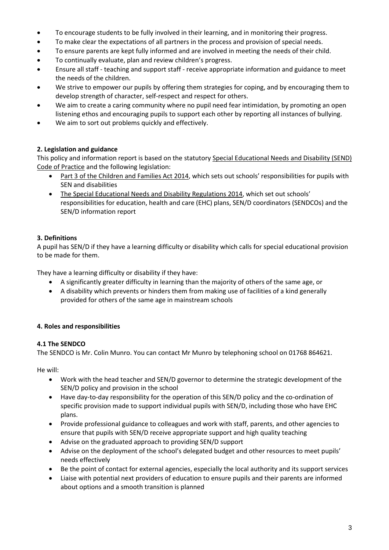- To encourage students to be fully involved in their learning, and in monitoring their progress.
- To make clear the expectations of all partners in the process and provision of special needs.
- To ensure parents are kept fully informed and are involved in meeting the needs of their child.
- To continually evaluate, plan and review children's progress.
- Ensure all staff teaching and support staff receive appropriate information and guidance to meet the needs of the children.
- We strive to empower our pupils by offering them strategies for coping, and by encouraging them to develop strength of character, self-respect and respect for others.
- We aim to create a caring community where no pupil need fear intimidation, by promoting an open listening ethos and encouraging pupils to support each other by reporting all instances of bullying.
- We aim to sort out problems quickly and effectively.

# **2. Legislation and guidance**

This policy and information report is based on the statutory [Special Educational Needs and Disability \(SEND\)](https://www.gov.uk/government/uploads/system/uploads/attachment_data/file/398815/SEND_Code_of_Practice_January_2015.pdf)  [Code of Practice](https://www.gov.uk/government/uploads/system/uploads/attachment_data/file/398815/SEND_Code_of_Practice_January_2015.pdf) and the following legislation:

- [Part 3 of the Children and Families Act 2014](http://www.legislation.gov.uk/ukpga/2014/6/part/3), which sets out schools' responsibilities for pupils with SEN and disabilities
- [The Special Educational Needs and Disability Regulations](http://www.legislation.gov.uk/uksi/2014/1530/contents/made) 2014, which set out schools' responsibilities for education, health and care (EHC) plans, SEN/D coordinators (SENDCOs) and the SEN/D information report

# **3. Definitions**

A pupil has SEN/D if they have a learning difficulty or disability which calls for special educational provision to be made for them.

They have a learning difficulty or disability if they have:

- A significantly greater difficulty in learning than the majority of others of the same age, or
- A disability which prevents or hinders them from making use of facilities of a kind generally provided for others of the same age in mainstream schools

# **4. Roles and responsibilities**

#### **4.1 The SENDCO**

The SENDCO is Mr. Colin Munro. You can contact Mr Munro by telephoning school on 01768 864621.

He will:

- Work with the head teacher and SEN/D governor to determine the strategic development of the SEN/D policy and provision in the school
- Have day-to-day responsibility for the operation of this SEN/D policy and the co-ordination of specific provision made to support individual pupils with SEN/D, including those who have EHC plans.
- Provide professional guidance to colleagues and work with staff, parents, and other agencies to ensure that pupils with SEN/D receive appropriate support and high quality teaching
- Advise on the graduated approach to providing SEN/D support
- Advise on the deployment of the school's delegated budget and other resources to meet pupils' needs effectively
- Be the point of contact for external agencies, especially the local authority and its support services
- Liaise with potential next providers of education to ensure pupils and their parents are informed about options and a smooth transition is planned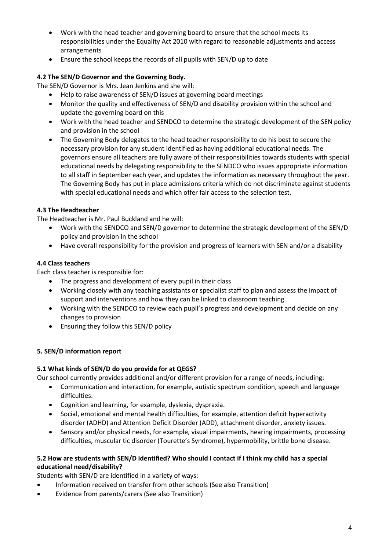- Work with the head teacher and governing board to ensure that the school meets its responsibilities under the Equality Act 2010 with regard to reasonable adjustments and access arrangements
- Ensure the school keeps the records of all pupils with SEN/D up to date

# **4.2 The SEN/D Governor and the Governing Body.**

The SEN/D Governor is Mrs. Jean Jenkins and she will:

- Help to raise awareness of SEN/D issues at governing board meetings
- Monitor the quality and effectiveness of SEN/D and disability provision within the school and update the governing board on this
- Work with the head teacher and SENDCO to determine the strategic development of the SEN policy and provision in the school
- The Governing Body delegates to the head teacher responsibility to do his best to secure the necessary provision for any student identified as having additional educational needs. The governors ensure all teachers are fully aware of their responsibilities towards students with special educational needs by delegating responsibility to the SENDCO who issues appropriate information to all staff in September each year, and updates the information as necessary throughout the year. The Governing Body has put in place admissions criteria which do not discriminate against students with special educational needs and which offer fair access to the selection test.

# **4.3 The Headteacher**

The Headteacher is Mr. Paul Buckland and he will:

- Work with the SENDCO and SEN/D governor to determine the strategic development of the SEN/D policy and provision in the school
- Have overall responsibility for the provision and progress of learners with SEN and/or a disability

#### **4.4 Class teachers**

Each class teacher is responsible for:

- The progress and development of every pupil in their class
- Working closely with any teaching assistants or specialist staff to plan and assess the impact of support and interventions and how they can be linked to classroom teaching
- Working with the SENDCO to review each pupil's progress and development and decide on any changes to provision
- Ensuring they follow this SEN/D policy

#### **5. SEN/D information report**

#### **5.1 What kinds of SEN/D do you provide for at QEGS?**

Our school currently provides additional and/or different provision for a range of needs, including:

- Communication and interaction, for example, autistic spectrum condition, speech and language difficulties.
- Cognition and learning, for example, dyslexia, dyspraxia.
- Social, emotional and mental health difficulties, for example, attention deficit hyperactivity disorder (ADHD) and Attention Deficit Disorder (ADD), attachment disorder, anxiety issues.
- Sensory and/or physical needs, for example, visual impairments, hearing impairments, processing difficulties, muscular tic disorder (Tourette's Syndrome), hypermobility, brittle bone disease.

# **5.2 How are students with SEN/D identified? Who should I contact if I think my child has a special educational need/disability?**

Students with SEN/D are identified in a variety of ways:

- Information received on transfer from other schools (See also Transition)
- Evidence from parents/carers (See also Transition)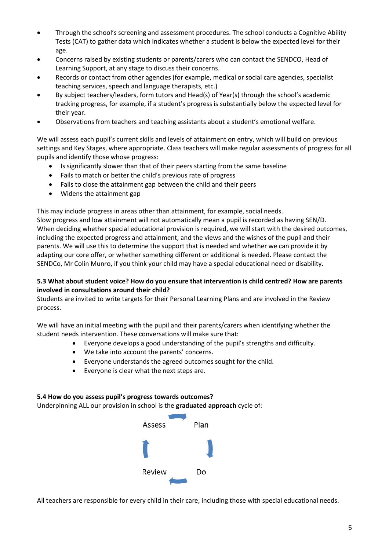- Through the school's screening and assessment procedures. The school conducts a Cognitive Ability Tests (CAT) to gather data which indicates whether a student is below the expected level for their age.
- Concerns raised by existing students or parents/carers who can contact the SENDCO, Head of Learning Support, at any stage to discuss their concerns.
- Records or contact from other agencies (for example, medical or social care agencies, specialist teaching services, speech and language therapists, etc.)
- By subject teachers/leaders, form tutors and Head(s) of Year(s) through the school's academic tracking progress, for example, if a student's progress is substantially below the expected level for their year.
- Observations from teachers and teaching assistants about a student's emotional welfare.

We will assess each pupil's current skills and levels of attainment on entry, which will build on previous settings and Key Stages, where appropriate. Class teachers will make regular assessments of progress for all pupils and identify those whose progress:

- Is significantly slower than that of their peers starting from the same baseline
- Fails to match or better the child's previous rate of progress
- Fails to close the attainment gap between the child and their peers
- Widens the attainment gap

This may include progress in areas other than attainment, for example, social needs.

Slow progress and low attainment will not automatically mean a pupil is recorded as having SEN/D. When deciding whether special educational provision is required, we will start with the desired outcomes, including the expected progress and attainment, and the views and the wishes of the pupil and their parents. We will use this to determine the support that is needed and whether we can provide it by adapting our core offer, or whether something different or additional is needed. Please contact the SENDCo, Mr Colin Munro, if you think your child may have a special educational need or disability.

#### **5.3 What about student voice? How do you ensure that intervention is child centred? How are parents involved in consultations around their child?**

Students are invited to write targets for their Personal Learning Plans and are involved in the Review process.

We will have an initial meeting with the pupil and their parents/carers when identifying whether the student needs intervention. These conversations will make sure that:

- Everyone develops a good understanding of the pupil's strengths and difficulty.
- We take into account the parents' concerns.
- Everyone understands the agreed outcomes sought for the child.
- Everyone is clear what the next steps are.

#### **5.4 How do you assess pupil's progress towards outcomes?**

Underpinning ALL our provision in school is the **graduated approach** cycle of:



All teachers are responsible for every child in their care, including those with special educational needs.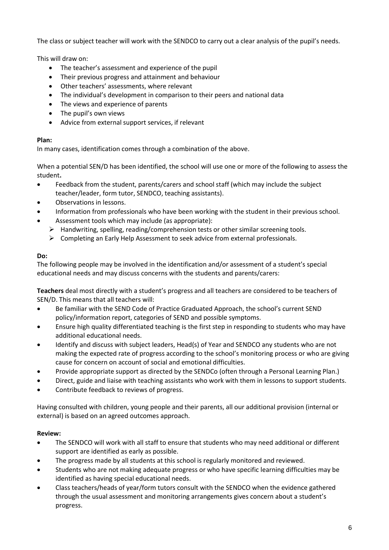The class or subject teacher will work with the SENDCO to carry out a clear analysis of the pupil's needs.

This will draw on:

- The teacher's assessment and experience of the pupil
- Their previous progress and attainment and behaviour
- Other teachers' assessments, where relevant
- The individual's development in comparison to their peers and national data
- The views and experience of parents
- The pupil's own views
- Advice from external support services, if relevant

# **Plan:**

In many cases, identification comes through a combination of the above.

When a potential SEN/D has been identified, the school will use one or more of the following to assess the student**.**

- Feedback from the student, parents/carers and school staff (which may include the subject teacher/leader, form tutor, SENDCO, teaching assistants).
- Observations in lessons.
- Information from professionals who have been working with the student in their previous school.
- Assessment tools which may include (as appropriate):
	- $\triangleright$  Handwriting, spelling, reading/comprehension tests or other similar screening tools.
	- $\triangleright$  Completing an Early Help Assessment to seek advice from external professionals.

# **Do:**

The following people may be involved in the identification and/or assessment of a student's special educational needs and may discuss concerns with the students and parents/carers:

**Teachers** deal most directly with a student's progress and all teachers are considered to be teachers of SEN/D. This means that all teachers will:

- Be familiar with the SEND Code of Practice Graduated Approach, the school's current SEND policy/information report, categories of SEND and possible symptoms.
- Ensure high quality differentiated teaching is the first step in responding to students who may have additional educational needs.
- Identify and discuss with subject leaders, Head(s) of Year and SENDCO any students who are not making the expected rate of progress according to the school's monitoring process or who are giving cause for concern on account of social and emotional difficulties.
- Provide appropriate support as directed by the SENDCo (often through a Personal Learning Plan.)
- Direct, guide and liaise with teaching assistants who work with them in lessons to support students.
- Contribute feedback to reviews of progress.

Having consulted with children, young people and their parents, all our additional provision (internal or external) is based on an agreed outcomes approach.

# **Review:**

- The SENDCO will work with all staff to ensure that students who may need additional or different support are identified as early as possible.
- The progress made by all students at this school is regularly monitored and reviewed.
- Students who are not making adequate progress or who have specific learning difficulties may be identified as having special educational needs.
- Class teachers/heads of year/form tutors consult with the SENDCO when the evidence gathered through the usual assessment and monitoring arrangements gives concern about a student's progress.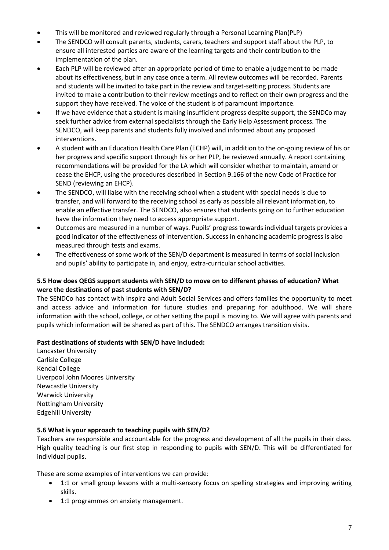- This will be monitored and reviewed regularly through a Personal Learning Plan(PLP)
- The SENDCO will consult parents, students, carers, teachers and support staff about the PLP, to ensure all interested parties are aware of the learning targets and their contribution to the implementation of the plan.
- Each PLP will be reviewed after an appropriate period of time to enable a judgement to be made about its effectiveness, but in any case once a term. All review outcomes will be recorded. Parents and students will be invited to take part in the review and target-setting process. Students are invited to make a contribution to their review meetings and to reflect on their own progress and the support they have received. The voice of the student is of paramount importance.
- If we have evidence that a student is making insufficient progress despite support, the SENDCo may seek further advice from external specialists through the Early Help Assessment process. The SENDCO, will keep parents and students fully involved and informed about any proposed interventions.
- A student with an Education Health Care Plan (ECHP) will, in addition to the on-going review of his or her progress and specific support through his or her PLP, be reviewed annually. A report containing recommendations will be provided for the LA which will consider whether to maintain, amend or cease the EHCP, using the procedures described in Section 9.166 of the new Code of Practice for SEND (reviewing an EHCP).
- The SENDCO, will liaise with the receiving school when a student with special needs is due to transfer, and will forward to the receiving school as early as possible all relevant information, to enable an effective transfer. The SENDCO, also ensures that students going on to further education have the information they need to access appropriate support.
- Outcomes are measured in a number of ways. Pupils' progress towards individual targets provides a good indicator of the effectiveness of intervention. Success in enhancing academic progress is also measured through tests and exams.
- The effectiveness of some work of the SEN/D department is measured in terms of social inclusion and pupils' ability to participate in, and enjoy, extra-curricular school activities.

# **5.5 How does QEGS support students with SEN/D to move on to different phases of education? What were the destinations of past students with SEN/D?**

The SENDCo has contact with Inspira and Adult Social Services and offers families the opportunity to meet and access advice and information for future studies and preparing for adulthood. We will share information with the school, college, or other setting the pupil is moving to. We will agree with parents and pupils which information will be shared as part of this. The SENDCO arranges transition visits.

# **Past destinations of students with SEN/D have included:**

Lancaster University Carlisle College Kendal College Liverpool John Moores University Newcastle University Warwick University Nottingham University Edgehill University

#### **5.6 What is your approach to teaching pupils with SEN/D?**

Teachers are responsible and accountable for the progress and development of all the pupils in their class. High quality teaching is our first step in responding to pupils with SEN/D. This will be differentiated for individual pupils.

These are some examples of interventions we can provide:

- 1:1 or small group lessons with a multi-sensory focus on spelling strategies and improving writing skills.
- 1:1 programmes on anxiety management.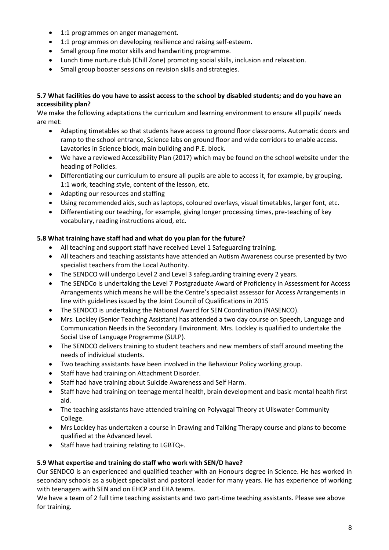- 1:1 programmes on anger management.
- 1:1 programmes on developing resilience and raising self-esteem.
- Small group fine motor skills and handwriting programme.
- Lunch time nurture club (Chill Zone) promoting social skills, inclusion and relaxation.
- Small group booster sessions on revision skills and strategies.

#### **5.7 What facilities do you have to assist access to the school by disabled students; and do you have an accessibility plan?**

We make the following adaptations the curriculum and learning environment to ensure all pupils' needs are met:

- Adapting timetables so that students have access to ground floor classrooms. Automatic doors and ramp to the school entrance, Science labs on ground floor and wide corridors to enable access. Lavatories in Science block, main building and P.E. block.
- We have a reviewed Accessibility Plan (2017) which may be found on the school website under the heading of Policies.
- Differentiating our curriculum to ensure all pupils are able to access it, for example, by grouping, 1:1 work, teaching style, content of the lesson, etc.
- Adapting our resources and staffing
- Using recommended aids, such as laptops, coloured overlays, visual timetables, larger font, etc.
- Differentiating our teaching, for example, giving longer processing times, pre-teaching of key vocabulary, reading instructions aloud, etc.

# **5.8 What training have staff had and what do you plan for the future?**

- All teaching and support staff have received Level 1 Safeguarding training.
- All teachers and teaching assistants have attended an Autism Awareness course presented by two specialist teachers from the Local Authority.
- The SENDCO will undergo Level 2 and Level 3 safeguarding training every 2 years.
- The SENDCo is undertaking the Level 7 Postgraduate Award of Proficiency in Assessment for Access Arrangements which means he will be the Centre's specialist assessor for Access Arrangements in line with guidelines issued by the Joint Council of Qualifications in 2015
- The SENDCO is undertaking the National Award for SEN Coordination (NASENCO).
- Mrs. Lockley (Senior Teaching Assistant) has attended a two day course on Speech, Language and Communication Needs in the Secondary Environment. Mrs. Lockley is qualified to undertake the Social Use of Language Programme (SULP).
- The SENDCO delivers training to student teachers and new members of staff around meeting the needs of individual students.
- Two teaching assistants have been involved in the Behaviour Policy working group.
- Staff have had training on Attachment Disorder.
- Staff had have training about Suicide Awareness and Self Harm.
- Staff have had training on teenage mental health, brain development and basic mental health first aid.
- The teaching assistants have attended training on Polyvagal Theory at Ullswater Community College.
- Mrs Lockley has undertaken a course in Drawing and Talking Therapy course and plans to become qualified at the Advanced level.
- Staff have had training relating to LGBTQ+.

#### **5.9 What expertise and training do staff who work with SEN/D have?**

Our SENDCO is an experienced and qualified teacher with an Honours degree in Science. He has worked in secondary schools as a subject specialist and pastoral leader for many years. He has experience of working with teenagers with SEN and on EHCP and EHA teams.

We have a team of 2 full time teaching assistants and two part-time teaching assistants. Please see above for training.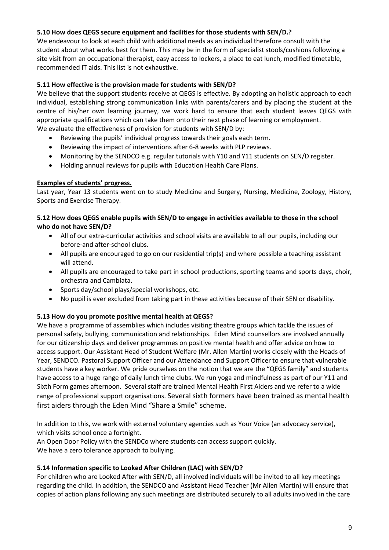## **5.10 How does QEGS secure equipment and facilities for those students with SEN/D.?**

We endeavour to look at each child with additional needs as an individual therefore consult with the student about what works best for them. This may be in the form of specialist stools/cushions following a site visit from an occupational therapist, easy access to lockers, a place to eat lunch, modified timetable, recommended IT aids. This list is not exhaustive.

## **5.11 How effective is the provision made for students with SEN/D?**

We believe that the support students receive at QEGS is effective. By adopting an holistic approach to each individual, establishing strong communication links with parents/carers and by placing the student at the centre of his/her own learning journey, we work hard to ensure that each student leaves QEGS with appropriate qualifications which can take them onto their next phase of learning or employment. We evaluate the effectiveness of provision for students with SEN/D by:

- Reviewing the pupils' individual progress towards their goals each term.
- Reviewing the impact of interventions after 6-8 weeks with PLP reviews.
- Monitoring by the SENDCO e.g. regular tutorials with Y10 and Y11 students on SEN/D register.
- Holding annual reviews for pupils with Education Health Care Plans.

#### **Examples of students' progress.**

Last year, Year 13 students went on to study Medicine and Surgery, Nursing, Medicine, Zoology, History, Sports and Exercise Therapy.

#### **5.12 How does QEGS enable pupils with SEN/D to engage in activities available to those in the school who do not have SEN/D?**

- All of our extra-curricular activities and school visits are available to all our pupils, including our before-and after-school clubs.
- All pupils are encouraged to go on our residential trip(s) and where possible a teaching assistant will attend.
- All pupils are encouraged to take part in school productions, sporting teams and sports days, choir, orchestra and Cambiata.
- Sports day/school plays/special workshops, etc.
- No pupil is ever excluded from taking part in these activities because of their SEN or disability.

#### **5.13 How do you promote positive mental health at QEGS?**

We have a programme of assemblies which includes visiting theatre groups which tackle the issues of personal safety, bullying, communication and relationships. Eden Mind counsellors are involved annually for our citizenship days and deliver programmes on positive mental health and offer advice on how to access support. Our Assistant Head of Student Welfare (Mr. Allen Martin) works closely with the Heads of Year, SENDCO. Pastoral Support Officer and our Attendance and Support Officer to ensure that vulnerable students have a key worker. We pride ourselves on the notion that we are the "QEGS family" and students have access to a huge range of daily lunch time clubs. We run yoga and mindfulness as part of our Y11 and Sixth Form games afternoon. Several staff are trained Mental Health First Aiders and we refer to a wide range of professional support organisations. Several sixth formers have been trained as mental health first aiders through the Eden Mind "Share a Smile" scheme.

In addition to this, we work with external voluntary agencies such as Your Voice (an advocacy service), which visits school once a fortnight.

An Open Door Policy with the SENDCo where students can access support quickly. We have a zero tolerance approach to bullying.

#### **5.14 Information specific to Looked After Children (LAC) with SEN/D?**

For children who are Looked After with SEN/D, all involved individuals will be invited to all key meetings regarding the child. In addition, the SENDCO and Assistant Head Teacher (Mr Allen Martin) will ensure that copies of action plans following any such meetings are distributed securely to all adults involved in the care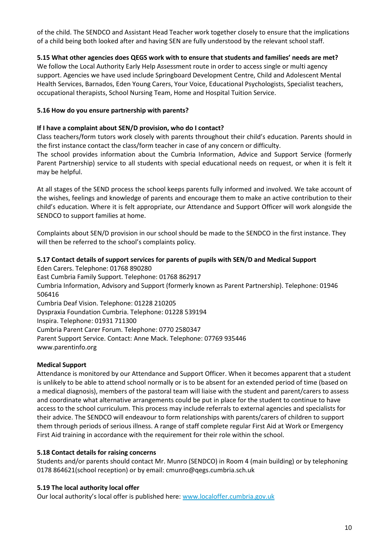of the child. The SENDCO and Assistant Head Teacher work together closely to ensure that the implications of a child being both looked after and having SEN are fully understood by the relevant school staff.

#### **5.15 What other agencies does QEGS work with to ensure that students and families' needs are met?**

We follow the Local Authority Early Help Assessment route in order to access single or multi agency support. Agencies we have used include Springboard Development Centre, Child and Adolescent Mental Health Services, Barnados, Eden Young Carers, Your Voice, Educational Psychologists, Specialist teachers, occupational therapists, School Nursing Team, Home and Hospital Tuition Service.

#### **5.16 How do you ensure partnership with parents?**

## **If I have a complaint about SEN/D provision, who do I contact?**

Class teachers/form tutors work closely with parents throughout their child's education. Parents should in the first instance contact the class/form teacher in case of any concern or difficulty.

The school provides information about the Cumbria Information, Advice and Support Service (formerly Parent Partnership) service to all students with special educational needs on request, or when it is felt it may be helpful.

At all stages of the SEND process the school keeps parents fully informed and involved. We take account of the wishes, feelings and knowledge of parents and encourage them to make an active contribution to their child's education. Where it is felt appropriate, our Attendance and Support Officer will work alongside the SENDCO to support families at home.

Complaints about SEN/D provision in our school should be made to the SENDCO in the first instance. They will then be referred to the school's complaints policy.

#### **5.17 Contact details of support services for parents of pupils with SEN/D and Medical Support**

Eden Carers. Telephone: 01768 890280 East Cumbria Family Support. Telephone: 01768 862917 Cumbria Information, Advisory and Support (formerly known as Parent Partnership). Telephone: 01946 506416 Cumbria Deaf Vision. Telephone: 01228 210205 Dyspraxia Foundation Cumbria. Telephone: 01228 539194 Inspira. Telephone: 01931 711300 Cumbria Parent Carer Forum. Telephone: 0770 2580347 Parent Support Service. Contact: Anne Mack. Telephone: 07769 935446 www.parentinfo.org

#### **Medical Support**

Attendance is monitored by our Attendance and Support Officer. When it becomes apparent that a student is unlikely to be able to attend school normally or is to be absent for an extended period of time (based on a medical diagnosis), members of the pastoral team will liaise with the student and parent/carers to assess and coordinate what alternative arrangements could be put in place for the student to continue to have access to the school curriculum. This process may include referrals to external agencies and specialists for their advice. The SENDCO will endeavour to form relationships with parents/carers of children to support them through periods of serious illness. A range of staff complete regular First Aid at Work or Emergency First Aid training in accordance with the requirement for their role within the school.

#### **5.18 Contact details for raising concerns**

Students and/or parents should contact Mr. Munro (SENDCO) in Room 4 (main building) or by telephoning 0178 864621(school reception) or by email: cmunro@qegs.cumbria.sch.uk

#### **5.19 The local authority local offer**

Our local authority's local offer is published here: [www.localoffer.cumbria.gov.uk](http://www.localoffer.cumbria.gov.uk/)